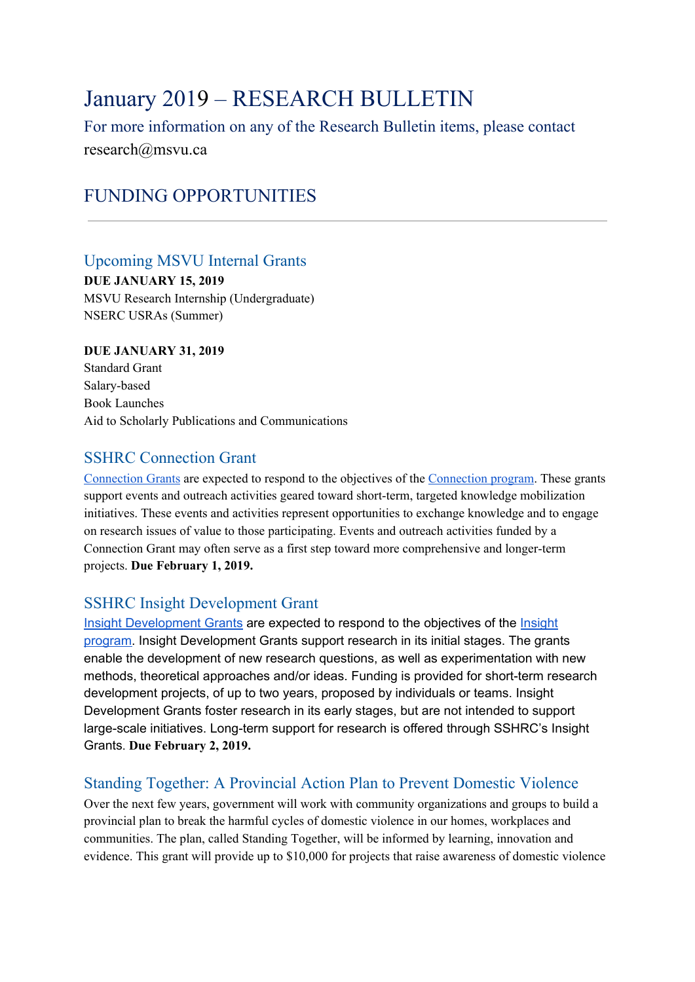## January 2019 – RESEARCH BULLETIN

For more information on any of the Research Bulletin items, please contact research@msvu.ca

## FUNDING OPPORTUNITIES

### Upcoming MSVU Internal Grants

**DUE JANUARY 15, 2019** MSVU Research Internship (Undergraduate) NSERC USRAs (Summer)

### **DUE JANUARY 31, 2019**

Standard Grant Salary-based Book Launches Aid to Scholarly Publications and Communications

### SSHRC Connection Grant

[Connection](http://www.sshrc-crsh.gc.ca/funding-financement/programs-programmes/connection_grants-subventions_connexion-eng.aspx) Grants are expected to respond to the objectives of the [Connection](http://www.sshrc-crsh.gc.ca/funding-financement/umbrella_programs-programme_cadre/connection-connexion-eng.aspx) program. These grants support events and outreach activities geared toward short-term, targeted knowledge mobilization initiatives. These events and activities represent opportunities to exchange knowledge and to engage on research issues of value to those participating. Events and outreach activities funded by a Connection Grant may often serve as a first step toward more comprehensive and longer-term projects. **Due February 1, 2019.**

### SSHRC Insight Development Grant

Insight [Development](http://www.sshrc-crsh.gc.ca/funding-financement/programs-programmes/insight_development_grants-subventions_de_developpement_savoir-eng.aspx) Grants are expected to respond to the objectives of the [Insight](http://www.sshrc-crsh.gc.ca/funding-financement/umbrella_programs-programme_cadre/insight-savoir-eng.aspx) [program](http://www.sshrc-crsh.gc.ca/funding-financement/umbrella_programs-programme_cadre/insight-savoir-eng.aspx). Insight Development Grants support research in its initial stages. The grants enable the development of new research questions, as well as experimentation with new methods, theoretical approaches and/or ideas. Funding is provided for short-term research development projects, of up to two years, proposed by individuals or teams. Insight Development Grants foster research in its early stages, but are not intended to support large-scale initiatives. Long-term support for research is offered through SSHRC's Insight Grants. **Due February 2, 2019.**

### Standing Together: A Provincial Action Plan to Prevent Domestic Violence

Over the next few years, government will work with community organizations and groups to build a provincial plan to break the harmful cycles of domestic violence in our homes, workplaces and communities. The plan, called Standing Together, will be informed by learning, innovation and evidence. This grant will provide up to \$10,000 for projects that raise awareness of domestic violence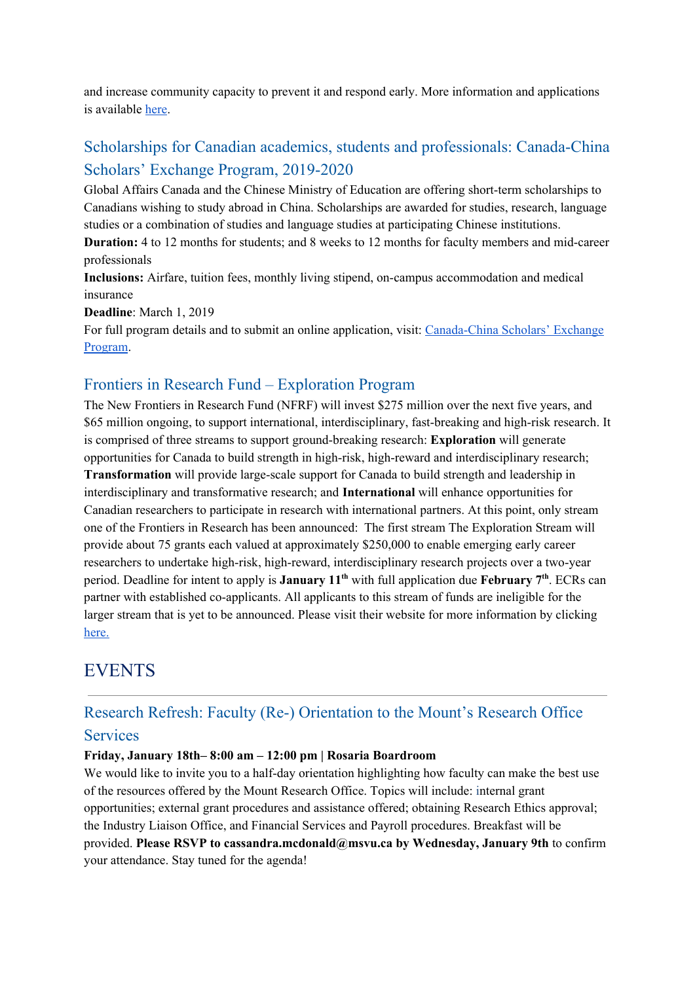and increase community capacity to prevent it and respond early. More information and applications is available [here](https://novascotia.ca/standingtogether/).

## Scholarships for Canadian academics, students and professionals: Canada-China Scholars' Exchange Program, 2019-2020

Global Affairs Canada and the Chinese Ministry of Education are offering short-term scholarships to Canadians wishing to study abroad in China. Scholarships are awarded for studies, research, language studies or a combination of studies and language studies at participating Chinese institutions.

**Duration:** 4 to 12 months for students; and 8 weeks to 12 months for faculty members and mid-career professionals

**Inclusions:** Airfare, tuition fees, monthly living stipend, on-campus accommodation and medical insurance

**Deadline**: March 1, 2019

For full program details and to submit an online application, visit: [Canada-China](https://scholarships-bourses.gc.ca/scholarships-bourses/can/ccsep-peucc.aspx?lang=eng&utm_source=Scholarships&utm_medium=CBIE-ContactList-EN&utm_campaign=CanChina-2019-EN&utm_content=EN) Scholars' Exchange [Program.](https://scholarships-bourses.gc.ca/scholarships-bourses/can/ccsep-peucc.aspx?lang=eng&utm_source=Scholarships&utm_medium=CBIE-ContactList-EN&utm_campaign=CanChina-2019-EN&utm_content=EN)

### Frontiers in Research Fund – Exploration Program

The New Frontiers in Research Fund (NFRF) will invest \$275 million over the next five years, and \$65 million ongoing, to support international, interdisciplinary, fast-breaking and high-risk research. It is comprised of three streams to support ground-breaking research: **Exploration** will generate opportunities for Canada to build strength in high-risk, high-reward and interdisciplinary research; **Transformation** will provide large-scale support for Canada to build strength and leadership in interdisciplinary and transformative research; and **International** will enhance opportunities for Canadian researchers to participate in research with international partners. At this point, only stream one of the Frontiers in Research has been announced: The first stream The Exploration Stream will provide about 75 grants each valued at approximately \$250,000 to enable emerging early career researchers to undertake high-risk, high-reward, interdisciplinary research projects over a two-year period. Deadline for intent to apply is **January** 11<sup>th</sup> with full application due **February** 7<sup>th</sup>. ECRs can partner with established co-applicants. All applicants to this stream of funds are ineligible for the larger stream that is yet to be announced. Please visit their website for more information by clickin[g](http://www.sshrc-crsh.gc.ca/funding-financement/nfrf-fnfr/instructions-eng.aspx#2) [here.](http://www.sshrc-crsh.gc.ca/funding-financement/nfrf-fnfr/instructions-eng.aspx#2)

## EVENTS

# Research Refresh: Faculty (Re-) Orientation to the Mount's Research Office

### **Services**

### **Friday, January 18th– 8:00 am – 12:00 pm | Rosaria Boardroom**

We would like to invite you to a half-day orientation highlighting how faculty can make the best use of the resources offered by the Mount Research Office. Topics will include: internal grant opportunities; external grant procedures and assistance offered; obtaining Research Ethics approval; the Industry Liaison Office, and Financial Services and Payroll procedures. Breakfast will be provided. **Please RSVP to cassandra.mcdonald@msvu.ca by Wednesday, January 9th** to confirm your attendance. Stay tuned for the agenda!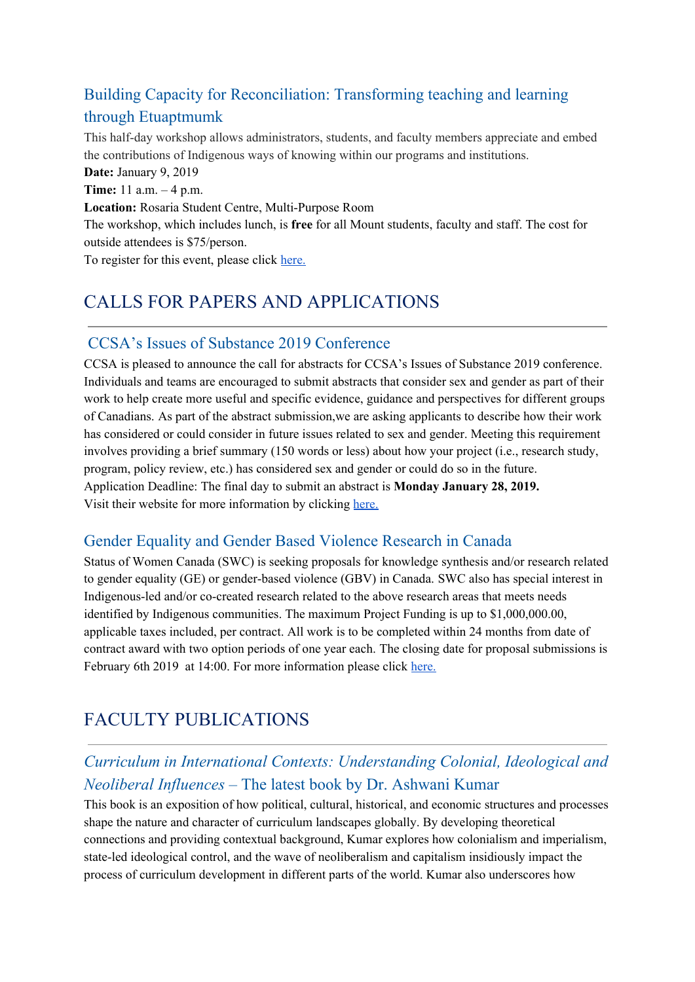## Building Capacity for Reconciliation: Transforming teaching and learning through Etuaptmumk

This half-day workshop allows administrators, students, and faculty members appreciate and embed the contributions of Indigenous ways of knowing within our programs and institutions.

**Date:** January 9, 2019 **Time:** 11 a.m. – 4 p.m. **Location:** Rosaria Student Centre, Multi-Purpose Room The workshop, which includes lunch, is **free** for all Mount students, faculty and staff. The cost for outside attendees is \$75/person. To register for this event, please click [here.](https://www.eventbrite.ca/e/two-eyed-seeing-etuaptmumk-workshop-tickets-52884687524)

## CALLS FOR PAPERS AND APPLICATIONS

### CCSA's Issues of Substance 2019 Conference

CCSA is pleased to announce the call for abstracts for CCSA's Issues of Substance 2019 conference. Individuals and teams are encouraged to submit abstracts that consider sex and gender as part of their work to help create more useful and specific evidence, guidance and perspectives for different groups of Canadians. As part of the abstract submission,we are asking applicants to describe how their work has considered or could consider in future issues related to sex and gender. Meeting this requirement involves providing a brief summary (150 words or less) about how your project (i.e., research study, program, policy review, etc.) has considered sex and gender or could do so in the future. Application Deadline: The final day to submit an abstract is **Monday January 28, 2019.** Visit their website for more information by clickin[g](http://www.ccsa.ca/Eng/newsevents/Issues-of-Substance-Conference/Call-for-Abstracts/Pages/default.aspx?_cldee=Y2Fyb2xpbmUucGxvZW1AZGFsLmNh&recipientid=contact-85f9ece4f1d1e6118105480fcfeaa931-996f12f69e3a4870b59df4e412f8a64b&esid=785a2369-b4ff-e811-a974-000d3af47939) [here.](http://www.ccsa.ca/Eng/newsevents/Issues-of-Substance-Conference/Call-for-Abstracts/Pages/default.aspx?_cldee=Y2Fyb2xpbmUucGxvZW1AZGFsLmNh&recipientid=contact-85f9ece4f1d1e6118105480fcfeaa931-996f12f69e3a4870b59df4e412f8a64b&esid=785a2369-b4ff-e811-a974-000d3af47939)

### Gender Equality and Gender Based Violence Research in Canada

Status of Women Canada (SWC) is seeking proposals for knowledge synthesis and/or research related to gender equality (GE) or gender-based violence (GBV) in Canada. SWC also has special interest in Indigenous-led and/or co-created research related to the above research areas that meets needs identified by Indigenous communities. The maximum Project Funding is up to \$1,000,000.00, applicable taxes included, per contract. All work is to be completed within 24 months from date of contract award with two option periods of one year each. The closing date for proposal submissions is February 6th 2019 at 14:00. For more information please click [here.](https://buyandsell.gc.ca/procurement-data/tender-notice/PW-18-00854775)

## FACULTY PUBLICATIONS

## *Curriculum in International Contexts: Understanding Colonial, Ideological and Neoliberal Influences* – The latest book by Dr. Ashwani Kumar

This book is an exposition of how political, cultural, historical, and economic structures and processes shape the nature and character of curriculum landscapes globally. By developing theoretical connections and providing contextual background, Kumar explores how colonialism and imperialism, state-led ideological control, and the wave of neoliberalism and capitalism insidiously impact the process of curriculum development in different parts of the world. Kumar also underscores how